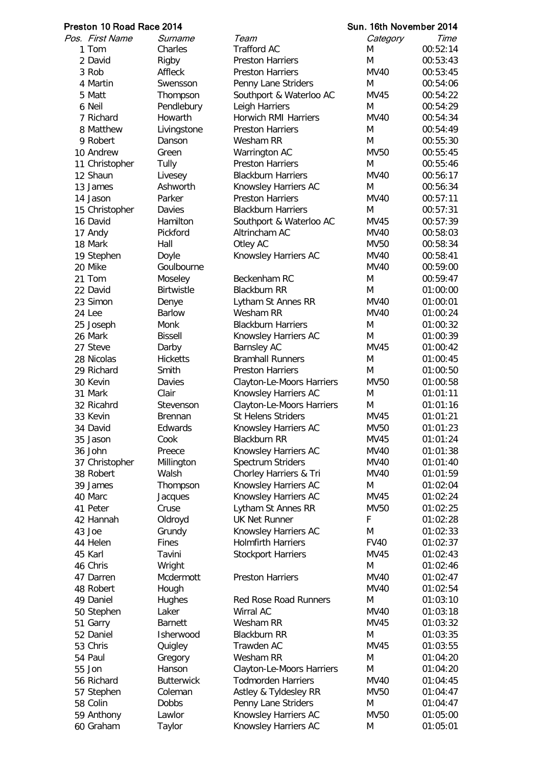| Preston 10 Road Race 2014 |                          |                          |                                                          | Sun. 16th November 2014 |                      |  |
|---------------------------|--------------------------|--------------------------|----------------------------------------------------------|-------------------------|----------------------|--|
|                           | Pos. First Name          | Surname                  | Team                                                     | Category                | Time                 |  |
|                           | 1 Tom                    | Charles                  | <b>Trafford AC</b>                                       | M                       | 00:52:14             |  |
|                           | 2 David                  | Rigby                    | <b>Preston Harriers</b>                                  | M                       | 00:53:43             |  |
|                           | 3 Rob                    | Affleck                  | <b>Preston Harriers</b>                                  | <b>MV40</b>             | 00:53:45             |  |
|                           | 4 Martin                 | Swensson                 | Penny Lane Striders                                      | M                       | 00:54:06             |  |
|                           | 5 Matt                   | Thompson                 | Southport & Waterloo AC                                  | <b>MV45</b>             | 00:54:22             |  |
|                           | 6 Neil                   | Pendlebury               | Leigh Harriers                                           | M                       | 00:54:29             |  |
|                           | 7 Richard                | Howarth                  | <b>Horwich RMI Harriers</b>                              | <b>MV40</b>             | 00:54:34             |  |
|                           | 8 Matthew                | Livingstone              | <b>Preston Harriers</b>                                  | M                       | 00:54:49             |  |
|                           | 9 Robert                 | Danson                   | Wesham RR                                                | M                       | 00:55:30             |  |
|                           | 10 Andrew                | Green                    | Warrington AC                                            | <b>MV50</b>             | 00:55:45             |  |
|                           | 11 Christopher           | <b>Tully</b>             | <b>Preston Harriers</b>                                  | M                       | 00:55:46             |  |
|                           | 12 Shaun                 | Livesey                  | <b>Blackburn Harriers</b>                                | <b>MV40</b>             | 00:56:17             |  |
|                           | 13 James                 | Ashworth                 | Knowsley Harriers AC                                     | M                       | 00:56:34             |  |
|                           | 14 Jason                 | Parker                   | <b>Preston Harriers</b>                                  | <b>MV40</b>             | 00:57:11             |  |
|                           | 15 Christopher           | Davies                   | <b>Blackburn Harriers</b>                                | M                       | 00:57:31             |  |
|                           | 16 David                 | Hamilton                 | Southport & Waterloo AC                                  | MV45                    | 00:57:39             |  |
|                           | 17 Andy                  | Pickford                 | Altrincham AC                                            | <b>MV40</b>             | 00:58:03             |  |
|                           | 18 Mark                  | Hall                     | Otley AC                                                 | <b>MV50</b>             | 00:58:34             |  |
|                           | 19 Stephen               | Doyle                    | Knowsley Harriers AC                                     | MV40                    | 00:58:41             |  |
|                           | 20 Mike                  | Goulbourne               |                                                          | MV40                    | 00:59:00             |  |
|                           | 21 Tom                   | Moseley                  | Beckenham RC                                             | M                       | 00:59:47             |  |
|                           | 22 David                 | <b>Birtwistle</b>        | <b>Blackburn RR</b>                                      | M                       | 01:00:00             |  |
|                           | 23 Simon                 | Denye                    | Lytham St Annes RR                                       | <b>MV40</b>             | 01:00:01             |  |
|                           | 24 Lee                   | <b>Barlow</b>            | Wesham RR                                                | <b>MV40</b>             | 01:00:24             |  |
|                           | 25 Joseph                | Monk                     | <b>Blackburn Harriers</b>                                | M                       | 01:00:32             |  |
|                           | 26 Mark                  | <b>Bissell</b>           | Knowsley Harriers AC                                     | M                       | 01:00:39             |  |
|                           | 27 Steve                 | Darby<br><b>Hicketts</b> | <b>Barnsley AC</b><br><b>Bramhall Runners</b>            | <b>MV45</b>             | 01:00:42             |  |
|                           | 28 Nicolas<br>29 Richard | Smith                    | <b>Preston Harriers</b>                                  | M<br>M                  | 01:00:45<br>01:00:50 |  |
|                           | 30 Kevin                 | Davies                   |                                                          | <b>MV50</b>             | 01:00:58             |  |
|                           | 31 Mark                  | Clair                    | <b>Clayton-Le-Moors Harriers</b><br>Knowsley Harriers AC | M                       | 01:01:11             |  |
|                           | 32 Ricahrd               | Stevenson                | Clayton-Le-Moors Harriers                                | M                       | 01:01:16             |  |
|                           | 33 Kevin                 | Brennan                  | <b>St Helens Striders</b>                                | <b>MV45</b>             | 01:01:21             |  |
|                           | 34 David                 | Edwards                  | Knowsley Harriers AC                                     | MV50                    | 01:01:23             |  |
|                           | 35 Jason                 | Cook                     | <b>Blackburn RR</b>                                      | <b>MV45</b>             | 01:01:24             |  |
|                           | 36 John                  | Preece                   | Knowsley Harriers AC                                     | <b>MV40</b>             | 01:01:38             |  |
|                           | 37 Christopher           | Millington               | Spectrum Striders                                        | <b>MV40</b>             | 01:01:40             |  |
|                           | 38 Robert                | Walsh                    | Chorley Harriers & Tri                                   | <b>MV40</b>             | 01:01:59             |  |
|                           | 39 James                 | Thompson                 | Knowsley Harriers AC                                     | M                       | 01:02:04             |  |
|                           | 40 Marc                  | Jacques                  | Knowsley Harriers AC                                     | MV45                    | 01:02:24             |  |
|                           | 41 Peter                 | Cruse                    | Lytham St Annes RR                                       | <b>MV50</b>             | 01:02:25             |  |
|                           | 42 Hannah                | Oldroyd                  | <b>UK Net Runner</b>                                     | F                       | 01:02:28             |  |
|                           | 43 Joe                   | Grundy                   | Knowsley Harriers AC                                     | M                       | 01:02:33             |  |
|                           | 44 Helen                 | Fines                    | <b>Holmfirth Harriers</b>                                | <b>FV40</b>             | 01:02:37             |  |
|                           | 45 Karl                  | Tavini                   | <b>Stockport Harriers</b>                                | MV45                    | 01:02:43             |  |
|                           | 46 Chris                 | Wright                   |                                                          | M                       | 01:02:46             |  |
|                           | 47 Darren                | Mcdermott                | <b>Preston Harriers</b>                                  | <b>MV40</b>             | 01:02:47             |  |
|                           | 48 Robert                | Hough                    |                                                          | <b>MV40</b>             | 01:02:54             |  |
|                           | 49 Daniel                | Hughes                   | <b>Red Rose Road Runners</b>                             | M                       | 01:03:10             |  |
|                           | 50 Stephen               | Laker                    | Wirral AC                                                | MV40                    | 01:03:18             |  |
|                           | 51 Garry                 | <b>Barnett</b>           | Wesham RR                                                | MV45                    | 01:03:32             |  |
|                           | 52 Daniel                | Isherwood                | <b>Blackburn RR</b>                                      | M                       | 01:03:35             |  |
|                           | 53 Chris                 | Quigley                  | Trawden AC                                               | <b>MV45</b>             | 01:03:55             |  |
|                           | 54 Paul                  | Gregory                  | Wesham RR                                                | M                       | 01:04:20             |  |
|                           | 55 Jon                   | Hanson                   | Clayton-Le-Moors Harriers                                | M                       | 01:04:20             |  |
|                           | 56 Richard               | <b>Butterwick</b>        | <b>Todmorden Harriers</b>                                | <b>MV40</b>             | 01:04:45             |  |
|                           | 57 Stephen               | Coleman                  | Astley & Tyldesley RR                                    | <b>MV50</b>             | 01:04:47             |  |
|                           | 58 Colin                 | <b>Dobbs</b>             | Penny Lane Striders                                      | M                       | 01:04:47             |  |
|                           | 59 Anthony               | Lawlor                   | Knowsley Harriers AC                                     | <b>MV50</b>             | 01:05:00             |  |
|                           | 60 Graham                | Taylor                   | Knowsley Harriers AC                                     | M                       | 01:05:01             |  |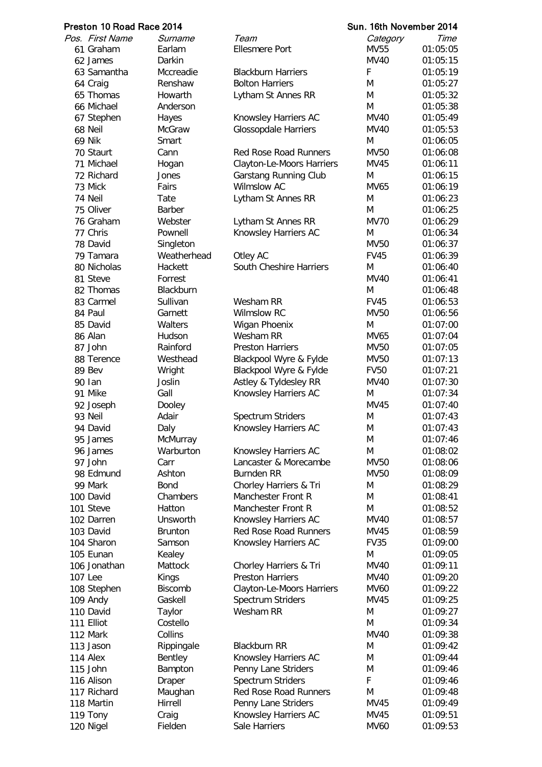## Preston 10 Road Race 2014 **Sun. 16th November 2014** Sun. 16th November 2014

|         | Pos.   First Name | Surname        | Team                         | Category    | Time     |
|---------|-------------------|----------------|------------------------------|-------------|----------|
|         | 61 Graham         | Earlam         | <b>Ellesmere Port</b>        | <b>MV55</b> | 01:05:05 |
|         | 62 James          | Darkin         |                              | <b>MV40</b> | 01:05:15 |
|         | 63 Samantha       | Mccreadie      | <b>Blackburn Harriers</b>    | F           | 01:05:19 |
|         | 64 Craig          | Renshaw        | <b>Bolton Harriers</b>       | M           | 01:05:27 |
|         | 65 Thomas         | Howarth        | Lytham St Annes RR           | M           | 01:05:32 |
|         | 66 Michael        | Anderson       |                              | M           | 01:05:38 |
|         | 67 Stephen        | Hayes          | Knowsley Harriers AC         | <b>MV40</b> | 01:05:49 |
|         | 68 Neil           | McGraw         | <b>Glossopdale Harriers</b>  | <b>MV40</b> | 01:05:53 |
|         | <b>69 Nik</b>     | Smart          |                              | M           | 01:06:05 |
|         | 70 Staurt         | Cann           | <b>Red Rose Road Runners</b> | <b>MV50</b> | 01:06:08 |
|         | 71 Michael        | Hogan          | Clayton-Le-Moors Harriers    | <b>MV45</b> | 01:06:11 |
|         | 72 Richard        | Jones          | Garstang Running Club        | M           | 01:06:15 |
|         | 73 Mick           | Fairs          | Wilmslow AC                  | <b>MV65</b> | 01:06:19 |
|         | 74 Neil           | Tate           | Lytham St Annes RR           | M           | 01:06:23 |
|         | 75 Oliver         | Barber         |                              | M           | 01:06:25 |
|         | 76 Graham         | Webster        | Lytham St Annes RR           | <b>MV70</b> | 01:06:29 |
|         | 77 Chris          | Pownell        | Knowsley Harriers AC         | M           | 01:06:34 |
|         | 78 David          | Singleton      |                              | <b>MV50</b> | 01:06:37 |
|         | 79 Tamara         | Weatherhead    | Otley AC                     | <b>FV45</b> | 01:06:39 |
|         | 80 Nicholas       | Hackett        | South Cheshire Harriers      | M           | 01:06:40 |
|         | 81 Steve          | Forrest        |                              | <b>MV40</b> | 01:06:41 |
|         | 82 Thomas         | Blackburn      |                              | M           | 01:06:48 |
|         | 83 Carmel         | Sullivan       | Wesham RR                    | <b>FV45</b> | 01:06:53 |
|         | 84 Paul           | Garnett        | <b>Wilmslow RC</b>           | MV50        | 01:06:56 |
|         | 85 David          | Walters        | Wigan Phoenix                | M           | 01:07:00 |
|         | 86 Alan           | Hudson         | Wesham RR                    | MV65        | 01:07:04 |
|         | 87 John           | Rainford       | <b>Preston Harriers</b>      | <b>MV50</b> | 01:07:05 |
|         | 88 Terence        | Westhead       | Blackpool Wyre & Fylde       | <b>MV50</b> | 01:07:13 |
|         | 89 Bev            | Wright         | Blackpool Wyre & Fylde       | <b>FV50</b> | 01:07:21 |
|         | 90 lan            | Joslin         | Astley & Tyldesley RR        | <b>MV40</b> | 01:07:30 |
|         | 91 Mike           | Gall           | Knowsley Harriers AC         | M           | 01:07:34 |
|         | 92 Joseph         | Dooley         |                              | <b>MV45</b> | 01:07:40 |
|         | 93 Neil           | Adair          | Spectrum Striders            | M           | 01:07:43 |
|         | 94 David          | Daly           | Knowsley Harriers AC         | M           | 01:07:43 |
|         | 95 James          | McMurray       |                              | M           | 01:07:46 |
|         | 96 James          | Warburton      | Knowsley Harriers AC         | M           | 01:08:02 |
|         | 97 John           | Carr           | Lancaster & Morecambe        | <b>MV50</b> | 01:08:06 |
|         | 98 Edmund         | Ashton         | <b>Burnden RR</b>            | <b>MV50</b> | 01:08:09 |
|         | 99 Mark           | <b>Bond</b>    | Chorley Harriers & Tri       | M           | 01:08:29 |
|         | 100 David         | Chambers       | Manchester Front R           | M           | 01:08:41 |
|         | 101 Steve         | Hatton         | Manchester Front R           | M           | 01:08:52 |
|         | 102 Darren        | Unsworth       | Knowsley Harriers AC         | <b>MV40</b> | 01:08:57 |
|         | 103 David         | <b>Brunton</b> | Red Rose Road Runners        | <b>MV45</b> | 01:08:59 |
|         | 104 Sharon        | Samson         | Knowsley Harriers AC         | <b>FV35</b> | 01:09:00 |
|         | 105 Eunan         | Kealey         |                              | M           | 01:09:05 |
|         | 106 Jonathan      | Mattock        | Chorley Harriers & Tri       | <b>MV40</b> | 01:09:11 |
| 107 Lee |                   | Kings          | <b>Preston Harriers</b>      | <b>MV40</b> | 01:09:20 |
|         | 108 Stephen       | <b>Biscomb</b> | Clayton-Le-Moors Harriers    | MV60        | 01:09:22 |
|         | 109 Andy          | Gaskell        | Spectrum Striders            | MV45        | 01:09:25 |
|         | 110 David         | Taylor         | Wesham RR                    | M           | 01:09:27 |
|         | 111 Elliot        | Costello       |                              | M           | 01:09:34 |
|         | 112 Mark          | Collins        |                              | <b>MV40</b> | 01:09:38 |
|         | 113 Jason         | Rippingale     | <b>Blackburn RR</b>          | M           | 01:09:42 |
|         | 114 Alex          | Bentley        | Knowsley Harriers AC         | M           | 01:09:44 |
|         | 115 John          | Bampton        | Penny Lane Striders          | M           | 01:09:46 |
|         | 116 Alison        | Draper         | Spectrum Striders            | F           | 01:09:46 |
|         | 117 Richard       | Maughan        | <b>Red Rose Road Runners</b> | M           | 01:09:48 |
|         | 118 Martin        | Hirrell        | Penny Lane Striders          | MV45        | 01:09:49 |
|         | 119 Tony          | Craig          | Knowsley Harriers AC         | MV45        | 01:09:51 |
|         | 120 Nigel         | Fielden        | Sale Harriers                | <b>MV60</b> | 01:09:53 |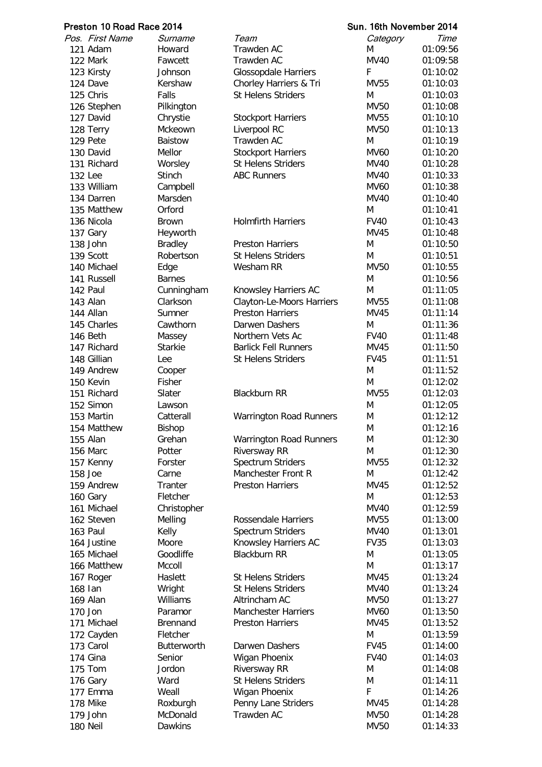|         | Preston 10 Road Race 2014 |                 |                                                        | Sun. 16th November 2014 |          |
|---------|---------------------------|-----------------|--------------------------------------------------------|-------------------------|----------|
|         | Pos. First Name           | Surname         | Team                                                   | Category                | Time     |
|         | 121 Adam                  | Howard          | Trawden AC                                             | M                       | 01:09:56 |
|         | 122 Mark                  | Fawcett         | Trawden AC                                             | <b>MV40</b>             | 01:09:58 |
|         | 123 Kirsty                | Johnson         | <b>Glossopdale Harriers</b>                            | F                       | 01:10:02 |
|         | 124 Dave                  | Kershaw         | Chorley Harriers & Tri                                 | <b>MV55</b>             | 01:10:03 |
|         | 125 Chris                 | Falls           | <b>St Helens Striders</b>                              | M                       | 01:10:03 |
|         | 126 Stephen               | Pilkington      |                                                        | <b>MV50</b>             | 01:10:08 |
|         | 127 David                 | Chrystie        | <b>Stockport Harriers</b>                              | <b>MV55</b>             | 01:10:10 |
|         | 128 Terry                 | Mckeown         | Liverpool RC                                           | <b>MV50</b>             | 01:10:13 |
|         | 129 Pete                  | <b>Baistow</b>  | <b>Trawden AC</b>                                      | M                       | 01:10:19 |
|         | 130 David                 | Mellor          | <b>Stockport Harriers</b>                              | <b>MV60</b>             | 01:10:20 |
|         | 131 Richard               | Worsley         | <b>St Helens Striders</b>                              | <b>MV40</b>             | 01:10:28 |
| 132 Lee |                           | <b>Stinch</b>   | <b>ABC Runners</b>                                     | <b>MV40</b>             | 01:10:33 |
|         | 133 William               | Campbell        |                                                        | <b>MV60</b>             | 01:10:38 |
|         | 134 Darren                | Marsden         |                                                        | <b>MV40</b>             | 01:10:40 |
|         | 135 Matthew               | Orford          |                                                        | M                       | 01:10:41 |
|         | 136 Nicola                | <b>Brown</b>    | <b>Holmfirth Harriers</b>                              | <b>FV40</b>             | 01:10:43 |
|         | 137 Gary                  | Heyworth        |                                                        | MV45                    | 01:10:48 |
|         | 138 John                  | <b>Bradley</b>  | <b>Preston Harriers</b>                                | M                       | 01:10:50 |
|         | 139 Scott                 | Robertson       | <b>St Helens Striders</b>                              | M                       | 01:10:51 |
|         | 140 Michael               | Edge            | Wesham RR                                              | <b>MV50</b>             | 01:10:55 |
|         | 141 Russell               | <b>Barnes</b>   |                                                        | M                       | 01:10:56 |
|         | 142 Paul                  | Cunningham      | Knowsley Harriers AC                                   | M                       | 01:11:05 |
|         | 143 Alan                  | Clarkson        | Clayton-Le-Moors Harriers                              | MV55                    | 01:11:08 |
|         | 144 Allan                 | Sumner          | <b>Preston Harriers</b>                                | <b>MV45</b>             | 01:11:14 |
|         | 145 Charles               | Cawthorn        | Darwen Dashers                                         | M                       | 01:11:36 |
|         | 146 Beth                  | Massey          | Northern Vets Ac                                       | <b>FV40</b>             | 01:11:48 |
|         | 147 Richard               | <b>Starkie</b>  | <b>Barlick Fell Runners</b>                            | MV45                    | 01:11:50 |
|         | 148 Gillian               | Lee             | <b>St Helens Striders</b>                              | <b>FV45</b>             | 01:11:51 |
|         | 149 Andrew                | Cooper          |                                                        | M                       | 01:11:52 |
|         | 150 Kevin                 | Fisher          |                                                        | M                       | 01:12:02 |
|         | 151 Richard               | Slater          | <b>Blackburn RR</b>                                    | <b>MV55</b>             | 01:12:03 |
|         | 152 Simon                 | Lawson          |                                                        | M                       | 01:12:05 |
|         | 153 Martin                | Catterall       | <b>Warrington Road Runners</b>                         | M                       | 01:12:12 |
|         | 154 Matthew               | Bishop          |                                                        | M                       | 01:12:16 |
|         | 155 Alan                  | Grehan          | <b>Warrington Road Runners</b>                         | M                       | 01:12:30 |
|         | 156 Marc                  | Potter          | Riversway RR                                           | M                       | 01:12:30 |
|         | 157 Kenny                 | Forster         | Spectrum Striders                                      | <b>MV55</b>             | 01:12:32 |
| 158 Joe |                           | Carne           | Manchester Front R                                     | M                       | 01:12:42 |
|         | 159 Andrew                | Tranter         | <b>Preston Harriers</b>                                | <b>MV45</b>             | 01:12:52 |
|         |                           | Fletcher        |                                                        | M                       | 01:12:53 |
|         | 160 Gary<br>161 Michael   | Christopher     |                                                        | <b>MV40</b>             | 01:12:59 |
|         | 162 Steven                |                 | Rossendale Harriers                                    | <b>MV55</b>             | 01:13:00 |
|         | 163 Paul                  | Melling         | Spectrum Striders                                      | <b>MV40</b>             | 01:13:01 |
|         | 164 Justine               | Kelly<br>Moore  | Knowsley Harriers AC                                   | <b>FV35</b>             | 01:13:03 |
|         | 165 Michael               | Goodliffe       | <b>Blackburn RR</b>                                    | M                       | 01:13:05 |
|         |                           |                 |                                                        | M                       | 01:13:17 |
|         | 166 Matthew               | Mccoll          |                                                        |                         |          |
|         | 167 Roger                 | Haslett         | <b>St Helens Striders</b><br><b>St Helens Striders</b> | MV45<br><b>MV40</b>     | 01:13:24 |
| 168 lan |                           | Wright          |                                                        |                         | 01:13:24 |
|         | 169 Alan                  | Williams        | Altrincham AC                                          | <b>MV50</b>             | 01:13:27 |
| 170 Jon |                           | Paramor         | <b>Manchester Harriers</b>                             | <b>MV60</b>             | 01:13:50 |
|         | 171 Michael               | <b>Brennand</b> | <b>Preston Harriers</b>                                | <b>MV45</b>             | 01:13:52 |
|         | 172 Cayden                | Fletcher        |                                                        | M                       | 01:13:59 |
|         | 173 Carol                 | Butterworth     | Darwen Dashers                                         | <b>FV45</b>             | 01:14:00 |
|         | 174 Gina                  | Senior          | Wigan Phoenix                                          | <b>FV40</b>             | 01:14:03 |
|         | 175 Tom                   | Jordon          | <b>Riversway RR</b>                                    | M                       | 01:14:08 |
|         | 176 Gary                  | Ward            | <b>St Helens Striders</b>                              | M                       | 01:14:11 |
|         | 177 Emma                  | Weall           | Wigan Phoenix                                          | F                       | 01:14:26 |
|         | 178 Mike                  | Roxburgh        | Penny Lane Striders                                    | MV45                    | 01:14:28 |
|         | 179 John                  | McDonald        | Trawden AC                                             | <b>MV50</b>             | 01:14:28 |
|         | 180 Neil                  | Dawkins         |                                                        | <b>MV50</b>             | 01:14:33 |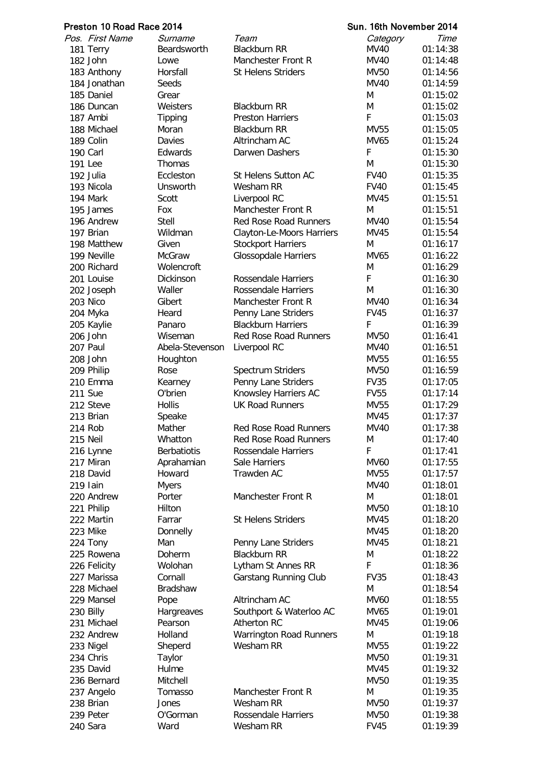| Preston 10 Road Race 2014 |                    |                                | Sun. 16th November 2014 |          |
|---------------------------|--------------------|--------------------------------|-------------------------|----------|
| Pos. First Name           | Surname            | Team                           | Category                | Time     |
| 181 Terry                 | Beardsworth        | <b>Blackburn RR</b>            | <b>MV40</b>             | 01:14:38 |
| 182 John                  | Lowe               | Manchester Front R             | MV40                    | 01:14:48 |
| 183 Anthony               | Horsfall           | <b>St Helens Striders</b>      | <b>MV50</b>             | 01:14:56 |
| 184 Jonathan              | Seeds              |                                | MV40                    | 01:14:59 |
| 185 Daniel                | Grear              |                                | M                       | 01:15:02 |
| 186 Duncan                | Weisters           | <b>Blackburn RR</b>            | M                       | 01:15:02 |
| 187 Ambi                  | <b>Tipping</b>     | <b>Preston Harriers</b>        | F                       | 01:15:03 |
| 188 Michael               | Moran              | <b>Blackburn RR</b>            | <b>MV55</b>             | 01:15:05 |
| 189 Colin                 | Davies             | Altrincham AC                  | <b>MV65</b>             | 01:15:24 |
| 190 Carl                  | Edwards            | Darwen Dashers                 | F                       | 01:15:30 |
| 191 Lee                   | <b>Thomas</b>      |                                | M                       | 01:15:30 |
| 192 Julia                 | Eccleston          | St Helens Sutton AC            | <b>FV40</b>             | 01:15:35 |
| 193 Nicola                | Unsworth           | Wesham RR                      | <b>FV40</b>             | 01:15:45 |
| 194 Mark                  | Scott              | Liverpool RC                   | <b>MV45</b>             | 01:15:51 |
| 195 James                 | Fox                | Manchester Front R             | M                       | 01:15:51 |
| 196 Andrew                | Stell              | <b>Red Rose Road Runners</b>   | <b>MV40</b>             | 01:15:54 |
| 197 Brian                 | Wildman            | Clayton-Le-Moors Harriers      | MV45                    | 01:15:54 |
| 198 Matthew               | Given              | <b>Stockport Harriers</b>      | M                       | 01:16:17 |
| 199 Neville               | <b>McGraw</b>      | <b>Glossopdale Harriers</b>    | <b>MV65</b>             | 01:16:22 |
| 200 Richard               | Wolencroft         |                                | M                       | 01:16:29 |
| 201 Louise                | Dickinson          | Rossendale Harriers            | F                       | 01:16:30 |
| 202 Joseph                | Waller             | Rossendale Harriers            | M                       | 01:16:30 |
| 203 Nico                  | Gibert             | Manchester Front R             | <b>MV40</b>             | 01:16:34 |
| 204 Myka                  | Heard              | Penny Lane Striders            | <b>FV45</b>             | 01:16:37 |
| 205 Kaylie                | Panaro             | <b>Blackburn Harriers</b>      | F                       | 01:16:39 |
| 206 John                  | Wiseman            | <b>Red Rose Road Runners</b>   | <b>MV50</b>             | 01:16:41 |
| 207 Paul                  | Abela-Stevenson    | Liverpool RC                   | MV40                    | 01:16:51 |
| 208 John                  | Houghton           |                                | <b>MV55</b>             | 01:16:55 |
| 209 Philip                | Rose               | Spectrum Striders              | <b>MV50</b>             | 01:16:59 |
| 210 Emma                  | Kearney            | Penny Lane Striders            | <b>FV35</b>             | 01:17:05 |
| <b>211 Sue</b>            | O'brien            | Knowsley Harriers AC           | <b>FV55</b>             | 01:17:14 |
| 212 Steve                 | <b>Hollis</b>      | <b>UK Road Runners</b>         | MV55                    | 01:17:29 |
| 213 Brian                 | Speake             |                                | <b>MV45</b>             | 01:17:37 |
| 214 Rob                   | Mather             | Red Rose Road Runners          | <b>MV40</b>             | 01:17:38 |
| 215 Neil                  | Whatton            | <b>Red Rose Road Runners</b>   | M                       | 01:17:40 |
| 216 Lynne                 | <b>Berbatiotis</b> | Rossendale Harriers            | F                       | 01:17:41 |
| 217 Miran                 | Aprahamian         | <b>Sale Harriers</b>           | <b>MV60</b>             | 01:17:55 |
| 218 David                 | Howard             | Trawden AC                     | <b>MV55</b>             | 01:17:57 |
| 219 Iain                  | <b>Myers</b>       |                                | <b>MV40</b>             | 01:18:01 |
| 220 Andrew                | Porter             | Manchester Front R             | M                       | 01:18:01 |
| 221 Philip                | Hilton             |                                | <b>MV50</b>             | 01:18:10 |
| 222 Martin                | Farrar             | <b>St Helens Striders</b>      | MV45                    | 01:18:20 |
| 223 Mike                  | Donnelly           |                                | MV45                    | 01:18:20 |
| 224 Tony                  | Man                | Penny Lane Striders            | MV45                    | 01:18:21 |
| 225 Rowena                | Doherm             | <b>Blackburn RR</b>            | M                       | 01:18:22 |
| 226 Felicity              | Wolohan            | Lytham St Annes RR             | F                       | 01:18:36 |
| 227 Marissa               | Cornall            | Garstang Running Club          | <b>FV35</b>             | 01:18:43 |
| 228 Michael               | <b>Bradshaw</b>    |                                | M                       | 01:18:54 |
| 229 Mansel                | Pope               | Altrincham AC                  | <b>MV60</b>             | 01:18:55 |
| 230 Billy                 | Hargreaves         | Southport & Waterloo AC        | MV65                    | 01:19:01 |
| 231 Michael               | Pearson            | Atherton RC                    | <b>MV45</b>             | 01:19:06 |
| 232 Andrew                | Holland            | <b>Warrington Road Runners</b> | M                       | 01:19:18 |
| 233 Nigel                 | Sheperd            | Wesham RR                      | <b>MV55</b>             | 01:19:22 |
| 234 Chris                 | Taylor             |                                | <b>MV50</b>             | 01:19:31 |
| 235 David                 | Hulme              |                                | MV45                    | 01:19:32 |
| 236 Bernard               | Mitchell           |                                | MV50                    | 01:19:35 |
| 237 Angelo                | Tomasso            | Manchester Front R             | M                       | 01:19:35 |
| 238 Brian                 | Jones              | Wesham RR                      | <b>MV50</b>             | 01:19:37 |
| 239 Peter                 | O'Gorman           | <b>Rossendale Harriers</b>     | <b>MV50</b>             | 01:19:38 |
| 240 Sara                  | Ward               | Wesham RR                      | <b>FV45</b>             | 01:19:39 |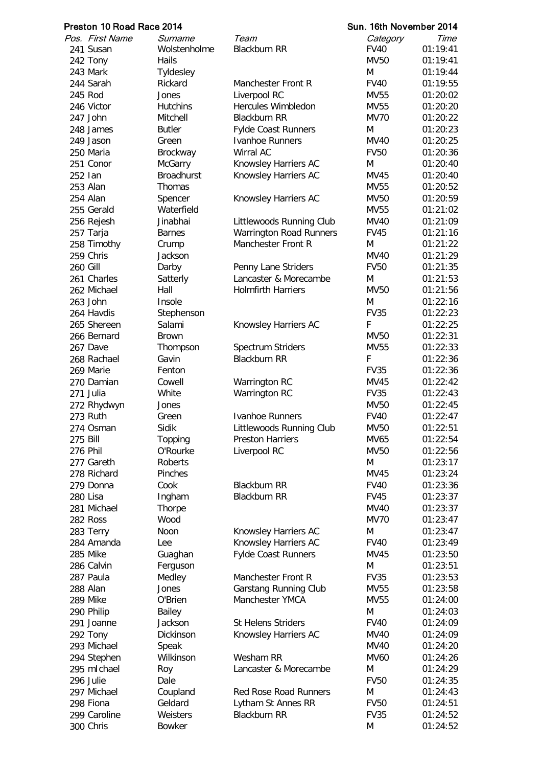|                 | Preston 10 Road Race 2014 |                     |                                              | Sun. 16th November 2014 |                      |
|-----------------|---------------------------|---------------------|----------------------------------------------|-------------------------|----------------------|
|                 | Pos. First Name           | Surname             | Team                                         | Category                | Time                 |
|                 | 241 Susan                 | Wolstenholme        | <b>Blackburn RR</b>                          | <b>FV40</b>             | 01:19:41             |
|                 | 242 Tony                  | <b>Hails</b>        |                                              | <b>MV50</b>             | 01:19:41             |
|                 | 243 Mark                  | Tyldesley           |                                              | M                       | 01:19:44             |
|                 | 244 Sarah                 | Rickard             | Manchester Front R                           | <b>FV40</b>             | 01:19:55             |
|                 | 245 Rod                   | Jones               | Liverpool RC                                 | <b>MV55</b>             | 01:20:02             |
|                 | 246 Victor                | <b>Hutchins</b>     | <b>Hercules Wimbledon</b>                    | <b>MV55</b>             | 01:20:20             |
|                 | 247 John                  | Mitchell            | <b>Blackburn RR</b>                          | <b>MV70</b>             | 01:20:22             |
|                 | 248 James                 | <b>Butler</b>       | Fylde Coast Runners                          | M                       | 01:20:23             |
|                 | 249 Jason                 | Green               | <b>Ivanhoe Runners</b>                       | <b>MV40</b>             | 01:20:25             |
|                 | 250 Maria                 | Brockway            | Wirral AC                                    | <b>FV50</b>             | 01:20:36             |
|                 | 251 Conor                 | <b>McGarry</b>      | Knowsley Harriers AC                         | M                       | 01:20:40             |
| 252 Ian         |                           | <b>Broadhurst</b>   | Knowsley Harriers AC                         | <b>MV45</b>             | 01:20:40             |
|                 | 253 Alan                  | <b>Thomas</b>       |                                              | <b>MV55</b>             | 01:20:52             |
|                 | 254 Alan                  | Spencer             | Knowsley Harriers AC                         | <b>MV50</b>             | 01:20:59             |
|                 | 255 Gerald                | Waterfield          |                                              | <b>MV55</b>             | 01:21:02             |
|                 | 256 Rejesh                | Jinabhai            | Littlewoods Running Club                     | MV40                    | 01:21:09             |
|                 | 257 Tarja                 | <b>Barnes</b>       | <b>Warrington Road Runners</b>               | <b>FV45</b>             | 01:21:16             |
|                 | 258 Timothy               | Crump               | Manchester Front R                           | M                       | 01:21:22             |
|                 | 259 Chris                 | Jackson             |                                              | <b>MV40</b>             | 01:21:29             |
| <b>260 Gill</b> |                           | Darby               | Penny Lane Striders                          | <b>FV50</b>             | 01:21:35             |
|                 | 261 Charles               | Satterly            | Lancaster & Morecambe                        | M                       | 01:21:53             |
|                 | 262 Michael               | Hall                | <b>Holmfirth Harriers</b>                    | <b>MV50</b>             | 01:21:56             |
|                 | 263 John                  | Insole              |                                              | M                       | 01:22:16             |
|                 | 264 Havdis                | Stephenson          |                                              | <b>FV35</b>             | 01:22:23             |
|                 | 265 Shereen               | Salami              | Knowsley Harriers AC                         | F                       | 01:22:25             |
|                 | 266 Bernard               | Brown               |                                              | <b>MV50</b>             | 01:22:31             |
|                 | 267 Dave                  | Thompson            | Spectrum Striders                            | <b>MV55</b>             | 01:22:33             |
|                 | 268 Rachael               | Gavin               | <b>Blackburn RR</b>                          | F                       | 01:22:36             |
|                 | 269 Marie                 | Fenton              |                                              | <b>FV35</b>             | 01:22:36             |
|                 | 270 Damian                | Cowell              | Warrington RC                                | <b>MV45</b>             | 01:22:42             |
|                 | 271 Julia                 | White               | Warrington RC                                | <b>FV35</b>             | 01:22:43             |
|                 | 272 Rhydwyn               | Jones               |                                              | <b>MV50</b>             | 01:22:45             |
|                 | 273 Ruth                  | Green               | Ivanhoe Runners                              | <b>FV40</b>             | 01:22:47             |
|                 | 274 Osman                 | Sidik               | Littlewoods Running Club                     | MV50                    | 01:22:51             |
| 275 Bill        |                           | Topping             | <b>Preston Harriers</b>                      | MV65                    | 01:22:54             |
| 276 Phil        |                           | O'Rourke            | Liverpool RC                                 | <b>MV50</b>             | 01:22:56             |
|                 | 277 Gareth                | Roberts             |                                              | M                       | 01:23:17             |
|                 | 278 Richard               | Pinches             |                                              | <b>MV45</b>             | 01:23:24             |
|                 | 279 Donna                 | Cook                | <b>Blackburn RR</b>                          | <b>FV40</b>             | 01:23:36             |
|                 | 280 Lisa                  | Ingham              | <b>Blackburn RR</b>                          | <b>FV45</b>             | 01:23:37             |
|                 | 281 Michael               | Thorpe              |                                              | <b>MV40</b>             | 01:23:37             |
|                 | 282 Ross                  | Wood                |                                              | <b>MV70</b><br>M        | 01:23:47             |
|                 | 283 Terry<br>284 Amanda   | Noon<br>Lee         | Knowsley Harriers AC<br>Knowsley Harriers AC | <b>FV40</b>             | 01:23:47<br>01:23:49 |
|                 | 285 Mike                  |                     | <b>Fylde Coast Runners</b>                   | <b>MV45</b>             | 01:23:50             |
|                 | 286 Calvin                | Guaghan<br>Ferguson |                                              | M                       | 01:23:51             |
|                 | 287 Paula                 | Medley              | Manchester Front R                           | <b>FV35</b>             | 01:23:53             |
|                 | 288 Alan                  | Jones               | Garstang Running Club                        | <b>MV55</b>             | 01:23:58             |
|                 | 289 Mike                  | O'Brien             | Manchester YMCA                              | <b>MV55</b>             | 01:24:00             |
|                 | 290 Philip                | Bailey              |                                              | M                       | 01:24:03             |
|                 | 291 Joanne                | Jackson             | <b>St Helens Striders</b>                    | <b>FV40</b>             | 01:24:09             |
|                 | 292 Tony                  | Dickinson           | Knowsley Harriers AC                         | <b>MV40</b>             | 01:24:09             |
|                 | 293 Michael               | Speak               |                                              | <b>MV40</b>             | 01:24:20             |
|                 | 294 Stephen               | Wilkinson           | Wesham RR                                    | <b>MV60</b>             | 01:24:26             |
|                 | 295 mlchael               | Roy                 | Lancaster & Morecambe                        | M                       | 01:24:29             |
|                 | 296 Julie                 | Dale                |                                              | <b>FV50</b>             | 01:24:35             |
|                 | 297 Michael               | Coupland            | <b>Red Rose Road Runners</b>                 | M                       | 01:24:43             |
|                 | 298 Fiona                 | Geldard             | Lytham St Annes RR                           | <b>FV50</b>             | 01:24:51             |
|                 | 299 Caroline              | Weisters            | <b>Blackburn RR</b>                          | <b>FV35</b>             | 01:24:52             |
|                 | 300 Chris                 | <b>Bowker</b>       |                                              | M                       | 01:24:52             |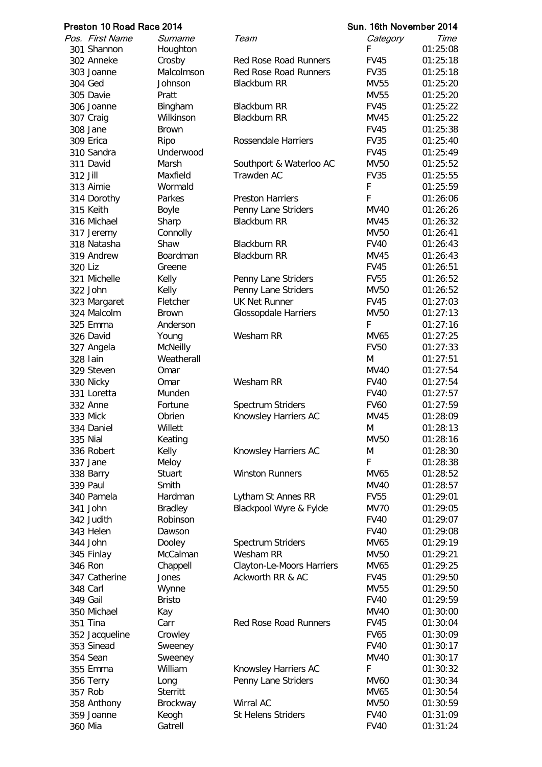| Preston 10 Road Race 2014 |                 |                 |                              | Sun. 16th November 2014 |          |  |
|---------------------------|-----------------|-----------------|------------------------------|-------------------------|----------|--|
|                           | Pos. First Name | Surname         | Team                         | Category                | Time     |  |
|                           | 301 Shannon     | Houghton        |                              | F                       | 01:25:08 |  |
|                           | 302 Anneke      | Crosby          | <b>Red Rose Road Runners</b> | <b>FV45</b>             | 01:25:18 |  |
|                           | 303 Joanne      | Malcolmson      | <b>Red Rose Road Runners</b> | <b>FV35</b>             | 01:25:18 |  |
|                           | 304 Ged         | Johnson         | <b>Blackburn RR</b>          | <b>MV55</b>             | 01:25:20 |  |
|                           | 305 Davie       | Pratt           |                              | <b>MV55</b>             | 01:25:20 |  |
|                           | 306 Joanne      | Bingham         | <b>Blackburn RR</b>          | <b>FV45</b>             | 01:25:22 |  |
|                           | 307 Craig       | Wilkinson       | <b>Blackburn RR</b>          | MV45                    | 01:25:22 |  |
|                           | 308 Jane        | <b>Brown</b>    |                              | <b>FV45</b>             | 01:25:38 |  |
|                           | 309 Erica       | Ripo            | Rossendale Harriers          | <b>FV35</b>             | 01:25:40 |  |
|                           | 310 Sandra      | Underwood       |                              | <b>FV45</b>             | 01:25:49 |  |
|                           | 311 David       | Marsh           | Southport & Waterloo AC      | MV50                    | 01:25:52 |  |
| 312 Jill                  |                 | Maxfield        | Trawden AC                   | <b>FV35</b>             | 01:25:55 |  |
|                           | 313 Aimie       | Wormald         |                              | F                       | 01:25:59 |  |
|                           | 314 Dorothy     | Parkes          | <b>Preston Harriers</b>      | F                       | 01:26:06 |  |
|                           | 315 Keith       | <b>Boyle</b>    | Penny Lane Striders          | <b>MV40</b>             | 01:26:26 |  |
|                           | 316 Michael     | Sharp           | <b>Blackburn RR</b>          | MV45                    | 01:26:32 |  |
|                           | 317 Jeremy      | Connolly        |                              | <b>MV50</b>             | 01:26:41 |  |
|                           | 318 Natasha     | Shaw            | <b>Blackburn RR</b>          | <b>FV40</b>             | 01:26:43 |  |
|                           | 319 Andrew      | Boardman        | <b>Blackburn RR</b>          | <b>MV45</b>             | 01:26:43 |  |
| 320 Liz                   |                 | Greene          |                              | <b>FV45</b>             | 01:26:51 |  |
|                           | 321 Michelle    | Kelly           | Penny Lane Striders          | <b>FV55</b>             | 01:26:52 |  |
|                           | 322 John        | Kelly           | Penny Lane Striders          | MV50                    | 01:26:52 |  |
|                           | 323 Margaret    | Fletcher        | <b>UK Net Runner</b>         | <b>FV45</b>             | 01:27:03 |  |
|                           | 324 Malcolm     | <b>Brown</b>    | <b>Glossopdale Harriers</b>  | <b>MV50</b>             | 01:27:13 |  |
|                           | 325 Emma        | Anderson        |                              | F                       | 01:27:16 |  |
|                           | 326 David       | Young           | Wesham RR                    | MV65                    | 01:27:25 |  |
|                           | 327 Angela      | <b>McNeilly</b> |                              | <b>FV50</b>             | 01:27:33 |  |
|                           | 328 lain        | Weatherall      |                              | M                       | 01:27:51 |  |
|                           | 329 Steven      | Omar            |                              | <b>MV40</b>             | 01:27:54 |  |
|                           | 330 Nicky       | Omar            | Wesham RR                    | <b>FV40</b>             | 01:27:54 |  |
|                           | 331 Loretta     | Munden          |                              | <b>FV40</b>             | 01:27:57 |  |
|                           | 332 Anne        | Fortune         | Spectrum Striders            | <b>FV60</b>             | 01:27:59 |  |
|                           | 333 Mick        | Obrien          | Knowsley Harriers AC         | MV45                    | 01:28:09 |  |
|                           | 334 Daniel      | Willett         |                              | M                       | 01:28:13 |  |
|                           | 335 Nial        | Keating         |                              | <b>MV50</b>             | 01:28:16 |  |
|                           | 336 Robert      | Kelly           | Knowsley Harriers AC         | M                       | 01:28:30 |  |
|                           | 337 Jane        | Meloy           |                              | F                       | 01:28:38 |  |
|                           | 338 Barry       | Stuart          | <b>Winston Runners</b>       | MV65                    | 01:28:52 |  |
|                           | <b>339 Paul</b> | Smith           |                              | <b>MV40</b>             | 01:28:57 |  |
|                           | 340 Pamela      | Hardman         | Lytham St Annes RR           | <b>FV55</b>             | 01:29:01 |  |
|                           | 341 John        | <b>Bradley</b>  | Blackpool Wyre & Fylde       | <b>MV70</b>             | 01:29:05 |  |
|                           | 342 Judith      | Robinson        |                              | <b>FV40</b>             | 01:29:07 |  |
|                           | 343 Helen       | Dawson          |                              | <b>FV40</b>             | 01:29:08 |  |
|                           | 344 John        | Dooley          | Spectrum Striders            | MV65                    | 01:29:19 |  |
|                           | 345 Finlay      | McCalman        | Wesham RR                    | <b>MV50</b>             | 01:29:21 |  |
|                           | 346 Ron         | Chappell        | Clayton-Le-Moors Harriers    | MV65                    | 01:29:25 |  |
|                           | 347 Catherine   | Jones           | Ackworth RR & AC             | <b>FV45</b>             | 01:29:50 |  |
|                           | 348 Carl        | Wynne           |                              | MV55                    | 01:29:50 |  |
|                           | 349 Gail        | <b>Bristo</b>   |                              | <b>FV40</b>             | 01:29:59 |  |
|                           | 350 Michael     | Kay             |                              | <b>MV40</b>             | 01:30:00 |  |
|                           | 351 Tina        | Carr            | <b>Red Rose Road Runners</b> | <b>FV45</b>             | 01:30:04 |  |
|                           | 352 Jacqueline  | Crowley         |                              | <b>FV65</b>             | 01:30:09 |  |
|                           | 353 Sinead      | Sweeney         |                              | <b>FV40</b>             | 01:30:17 |  |
|                           | 354 Sean        | Sweeney         |                              | <b>MV40</b>             | 01:30:17 |  |
|                           | 355 Emma        | William         | Knowsley Harriers AC         | F                       | 01:30:32 |  |
|                           | 356 Terry       | Long            | Penny Lane Striders          | MV60                    | 01:30:34 |  |
|                           | 357 Rob         | <b>Sterritt</b> |                              | MV65                    | 01:30:54 |  |
|                           | 358 Anthony     | Brockway        | Wirral AC                    | <b>MV50</b>             | 01:30:59 |  |
|                           | 359 Joanne      | Keogh           | <b>St Helens Striders</b>    | <b>FV40</b>             | 01:31:09 |  |
| 360 Mia                   |                 | Gatrell         |                              | <b>FV40</b>             | 01:31:24 |  |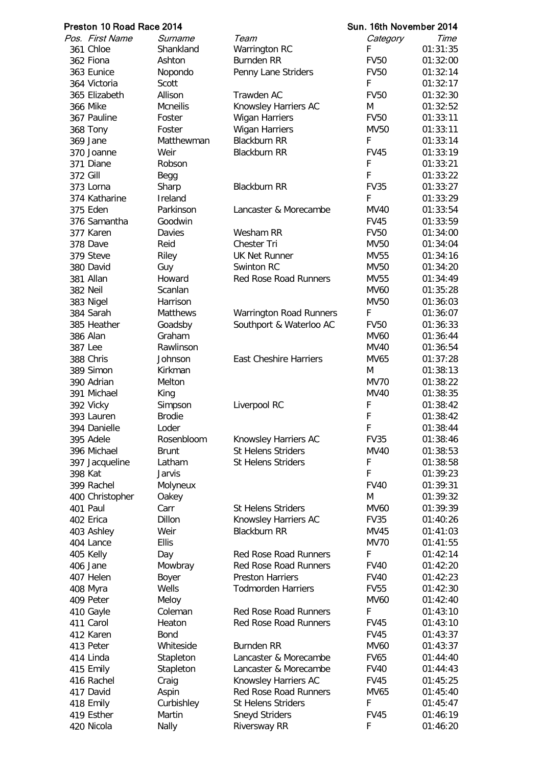|          | Preston 10 Road Race 2014 |                 |                                | Sun. 16th November 2014 |          |
|----------|---------------------------|-----------------|--------------------------------|-------------------------|----------|
|          | Pos. First Name           | Surname         | Team                           | Category                | Time     |
|          | 361 Chloe                 | Shankland       | Warrington RC                  | F                       | 01:31:35 |
|          | 362 Fiona                 | Ashton          | <b>Burnden RR</b>              | <b>FV50</b>             | 01:32:00 |
|          | 363 Eunice                | Nopondo         | Penny Lane Striders            | <b>FV50</b>             | 01:32:14 |
|          | 364 Victoria              | Scott           |                                | F                       | 01:32:17 |
|          | 365 Elizabeth             | Allison         | Trawden AC                     | <b>FV50</b>             | 01:32:30 |
|          | <b>366 Mike</b>           | <b>Mcneilis</b> | Knowsley Harriers AC           | м                       | 01:32:52 |
|          | 367 Pauline               | Foster          | <b>Wigan Harriers</b>          | <b>FV50</b>             | 01:33:11 |
|          | 368 Tony                  | Foster          | <b>Wigan Harriers</b>          | MV50                    | 01:33:11 |
|          | 369 Jane                  | Matthewman      | <b>Blackburn RR</b>            | F                       | 01:33:14 |
|          | 370 Joanne                | Weir            | <b>Blackburn RR</b>            | <b>FV45</b>             | 01:33:19 |
|          | 371 Diane                 | Robson          |                                | F                       | 01:33:21 |
|          |                           |                 |                                | F                       |          |
| 372 Gill |                           | Begg            |                                |                         | 01:33:22 |
|          | 373 Lorna                 | Sharp           | <b>Blackburn RR</b>            | <b>FV35</b>             | 01:33:27 |
|          | 374 Katharine             | Ireland         |                                | F                       | 01:33:29 |
|          | 375 Eden                  | Parkinson       | Lancaster & Morecambe          | <b>MV40</b>             | 01:33:54 |
|          | 376 Samantha              | Goodwin         |                                | <b>FV45</b>             | 01:33:59 |
|          | 377 Karen                 | Davies          | Wesham RR                      | <b>FV50</b>             | 01:34:00 |
|          | 378 Dave                  | Reid            | <b>Chester Tri</b>             | MV50                    | 01:34:04 |
|          | 379 Steve                 | Riley           | <b>UK Net Runner</b>           | MV55                    | 01:34:16 |
|          | 380 David                 | Guy             | Swinton RC                     | MV50                    | 01:34:20 |
|          | 381 Allan                 | Howard          | <b>Red Rose Road Runners</b>   | MV55                    | 01:34:49 |
|          | 382 Neil                  | Scanlan         |                                | MV60                    | 01:35:28 |
|          | 383 Nigel                 | Harrison        |                                | MV50                    | 01:36:03 |
|          | 384 Sarah                 | Matthews        | <b>Warrington Road Runners</b> | F                       | 01:36:07 |
|          | 385 Heather               | Goadsby         | Southport & Waterloo AC        | <b>FV50</b>             | 01:36:33 |
|          | 386 Alan                  | Graham          |                                | MV60                    | 01:36:44 |
|          | 387 Lee                   | Rawlinson       |                                | MV40                    | 01:36:54 |
|          | 388 Chris                 | Johnson         | <b>East Cheshire Harriers</b>  | MV65                    | 01:37:28 |
|          | 389 Simon                 | Kirkman         |                                | M                       | 01:38:13 |
|          | 390 Adrian                | Melton          |                                | <b>MV70</b>             | 01:38:22 |
|          |                           |                 |                                |                         |          |
|          | 391 Michael               | King            |                                | <b>MV40</b>             | 01:38:35 |
|          | 392 Vicky                 | Simpson         | Liverpool RC                   | F                       | 01:38:42 |
|          | 393 Lauren                | <b>Brodie</b>   |                                | F                       | 01:38:42 |
|          | 394 Danielle              | Loder           |                                | F                       | 01:38:44 |
|          | 395 Adele                 | Rosenbloom      | Knowsley Harriers AC           | <b>FV35</b>             | 01:38:46 |
|          | 396 Michael               | <b>Brunt</b>    | <b>St Helens Striders</b>      | MV40                    | 01:38:53 |
|          | 397 Jacqueline            | Latham          | <b>St Helens Striders</b>      | F                       | 01:38:58 |
| 398 Kat  |                           | Jarvis          |                                | F                       | 01:39:23 |
|          | 399 Rachel                | Molyneux        |                                | <b>FV40</b>             | 01:39:31 |
|          | 400 Christopher           | Oakey           |                                | M                       | 01:39:32 |
|          | 401 Paul                  | Carr            | <b>St Helens Striders</b>      | <b>MV60</b>             | 01:39:39 |
|          | 402 Erica                 | Dillon          | Knowsley Harriers AC           | <b>FV35</b>             | 01:40:26 |
|          | 403 Ashley                | Weir            | <b>Blackburn RR</b>            | MV45                    | 01:41:03 |
|          | 404 Lance                 | <b>Ellis</b>    |                                | <b>MV70</b>             | 01:41:55 |
|          | 405 Kelly                 | Day             | <b>Red Rose Road Runners</b>   | F                       | 01:42:14 |
|          | 406 Jane                  | Mowbray         | <b>Red Rose Road Runners</b>   | <b>FV40</b>             | 01:42:20 |
|          | 407 Helen                 | Boyer           | <b>Preston Harriers</b>        | <b>FV40</b>             | 01:42:23 |
|          | 408 Myra                  | Wells           | <b>Todmorden Harriers</b>      | <b>FV55</b>             | 01:42:30 |
|          | 409 Peter                 | Meloy           |                                | MV60                    | 01:42:40 |
|          | 410 Gayle                 | Coleman         | <b>Red Rose Road Runners</b>   | F                       | 01:43:10 |
|          | 411 Carol                 | Heaton          | <b>Red Rose Road Runners</b>   | <b>FV45</b>             | 01:43:10 |
|          | 412 Karen                 | <b>Bond</b>     |                                | <b>FV45</b>             | 01:43:37 |
|          |                           | Whiteside       | <b>Burnden RR</b>              | MV60                    |          |
|          | 413 Peter                 |                 |                                |                         | 01:43:37 |
|          | 414 Linda                 | Stapleton       | Lancaster & Morecambe          | <b>FV65</b>             | 01:44:40 |
|          | 415 Emily                 | Stapleton       | Lancaster & Morecambe          | <b>FV40</b>             | 01:44:43 |
|          | 416 Rachel                | Craig           | Knowsley Harriers AC           | <b>FV45</b>             | 01:45:25 |
|          | 417 David                 | Aspin           | <b>Red Rose Road Runners</b>   | MV65                    | 01:45:40 |
|          | 418 Emily                 | Curbishley      | <b>St Helens Striders</b>      | F                       | 01:45:47 |
|          | 419 Esther                | Martin          | Sneyd Striders                 | <b>FV45</b>             | 01:46:19 |
|          | 420 Nicola                | Nally           | <b>Riversway RR</b>            | F                       | 01:46:20 |
|          |                           |                 |                                |                         |          |